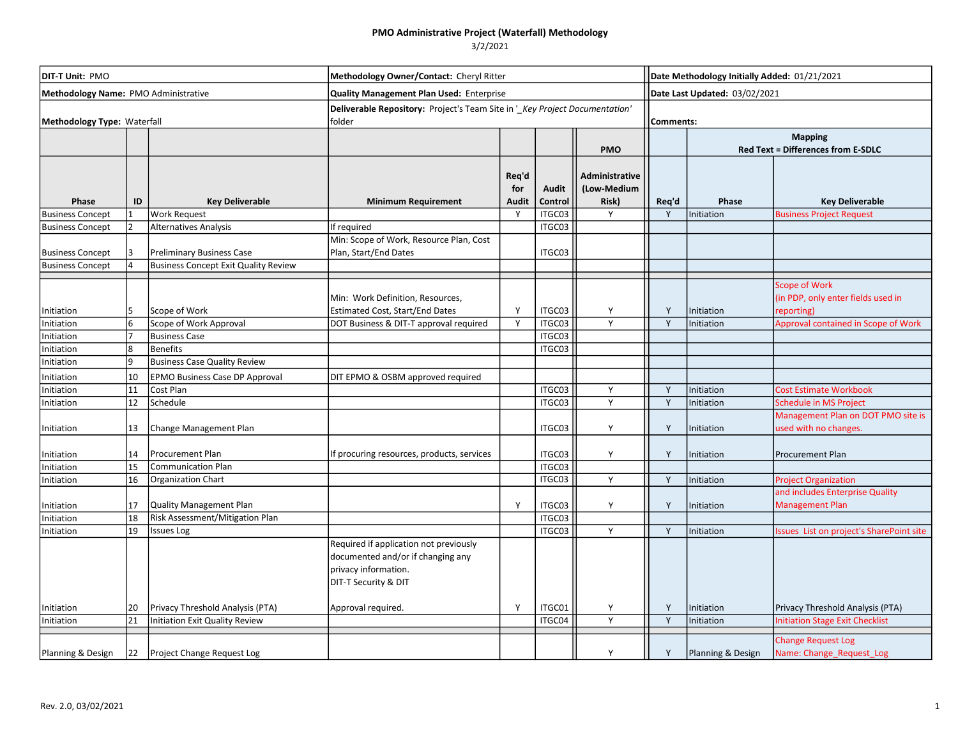| <b>DIT-T Unit: PMO</b><br>Methodology Name: PMO Administrative |    |                                             | Methodology Owner/Contact: Cheryl Ritter<br><b>Quality Management Plan Used: Enterprise</b>                                 |                              |                         |                                        |       | Date Methodology Initially Added: 01/21/2021<br>Date Last Updated: 03/02/2021 |                                                                          |  |  |
|----------------------------------------------------------------|----|---------------------------------------------|-----------------------------------------------------------------------------------------------------------------------------|------------------------------|-------------------------|----------------------------------------|-------|-------------------------------------------------------------------------------|--------------------------------------------------------------------------|--|--|
|                                                                |    |                                             |                                                                                                                             |                              |                         |                                        |       |                                                                               |                                                                          |  |  |
|                                                                |    |                                             |                                                                                                                             |                              |                         | <b>PMO</b>                             |       | <b>Mapping</b><br>Red Text = Differences from E-SDLC                          |                                                                          |  |  |
| Phase                                                          | ID | <b>Key Deliverable</b>                      | <b>Minimum Requirement</b>                                                                                                  | Req'd<br>for<br><b>Audit</b> | <b>Audit</b><br>Control | Administrative<br>(Low-Medium<br>Risk) | Req'd | Phase                                                                         | <b>Key Deliverable</b>                                                   |  |  |
| <b>Business Concept</b>                                        |    | <b>Work Request</b>                         |                                                                                                                             | Y                            | ITGC03                  | Y                                      | Y     | Initiation                                                                    | <b>Business Project Request</b>                                          |  |  |
| <b>Business Concept</b>                                        |    | Alternatives Analysis                       | If required                                                                                                                 |                              | ITGC03                  |                                        |       |                                                                               |                                                                          |  |  |
| <b>Business Concept</b>                                        |    | <b>Preliminary Business Case</b>            | Min: Scope of Work, Resource Plan, Cost<br>Plan, Start/End Dates                                                            |                              | ITGC03                  |                                        |       |                                                                               |                                                                          |  |  |
| <b>Business Concept</b>                                        |    | <b>Business Concept Exit Quality Review</b> |                                                                                                                             |                              |                         |                                        |       |                                                                               |                                                                          |  |  |
| Initiation                                                     |    | Scope of Work                               | Min: Work Definition, Resources,<br><b>Estimated Cost, Start/End Dates</b>                                                  | Y                            | ITGC03                  | Y                                      | Y     | Initiation                                                                    | <b>Scope of Work</b><br>(in PDP, only enter fields used in<br>reporting) |  |  |
| Initiation                                                     |    | Scope of Work Approval                      | DOT Business & DIT-T approval required                                                                                      | Y                            | ITGC03                  | Y                                      | Y     | Initiation                                                                    | Approval contained in Scope of Work                                      |  |  |
| Initiation                                                     |    | <b>Business Case</b>                        |                                                                                                                             |                              | ITGC03                  |                                        |       |                                                                               |                                                                          |  |  |
| Initiation                                                     |    | Benefits                                    |                                                                                                                             |                              | ITGC03                  |                                        |       |                                                                               |                                                                          |  |  |
| Initiation                                                     | q  | <b>Business Case Quality Review</b>         |                                                                                                                             |                              |                         |                                        |       |                                                                               |                                                                          |  |  |
| Initiation                                                     | 10 | <b>EPMO Business Case DP Approval</b>       | DIT EPMO & OSBM approved required                                                                                           |                              |                         |                                        |       |                                                                               |                                                                          |  |  |
| Initiation                                                     | 11 | Cost Plan                                   |                                                                                                                             |                              | ITGC03                  | Y                                      | Y     | Initiation                                                                    | <b>Cost Estimate Workbook</b>                                            |  |  |
| Initiation                                                     | 12 | Schedule                                    |                                                                                                                             |                              | ITGC03                  | Y                                      | Y     | Initiation                                                                    | <b>Schedule in MS Project</b>                                            |  |  |
| Initiation                                                     | 13 | Change Management Plan                      |                                                                                                                             |                              | ITGC03                  | Y                                      | Y     | Initiation                                                                    | Management Plan on DOT PMO site is<br>used with no changes.              |  |  |
| Initiation                                                     | 14 | Procurement Plan                            | If procuring resources, products, services                                                                                  |                              | ITGC03                  | Υ                                      | Y     | Initiation                                                                    | Procurement Plan                                                         |  |  |
| Initiation                                                     | 15 | Communication Plan                          |                                                                                                                             |                              | ITGC03                  |                                        |       |                                                                               |                                                                          |  |  |
| Initiation                                                     | 16 | Organization Chart                          |                                                                                                                             |                              | ITGC03                  | Y                                      | Y     | Initiation                                                                    | <b>Project Organization</b>                                              |  |  |
| Initiation                                                     | 17 | Quality Management Plan                     |                                                                                                                             | Υ                            | ITGC03                  | Υ                                      | Y     | Initiation                                                                    | and includes Enterprise Quality<br><b>Management Plan</b>                |  |  |
| Initiation                                                     | 18 | Risk Assessment/Mitigation Plan             |                                                                                                                             |                              | ITGC03                  |                                        |       |                                                                               |                                                                          |  |  |
| Initiation                                                     | 19 | <b>Issues Log</b>                           | Required if application not previously<br>documented and/or if changing any<br>privacy information.<br>DIT-T Security & DIT |                              | ITGC03                  | Y                                      | Y     | Initiation                                                                    | Issues List on project's SharePoint site                                 |  |  |
| Initiation                                                     | 20 | Privacy Threshold Analysis (PTA)            | Approval required.                                                                                                          | Υ                            | ITGC01                  | Υ                                      | Y     | Initiation                                                                    | Privacy Threshold Analysis (PTA)                                         |  |  |
| Initiation                                                     | 21 | Initiation Exit Quality Review              |                                                                                                                             |                              | ITGC04                  | Y                                      | Y     | Initiation                                                                    | <b>Initiation Stage Exit Checklist</b>                                   |  |  |
| Planning & Design                                              | 22 | Project Change Request Log                  |                                                                                                                             |                              |                         | Y                                      | Y     | Planning & Design                                                             | <b>Change Request Log</b><br>Name: Change_Request_Log                    |  |  |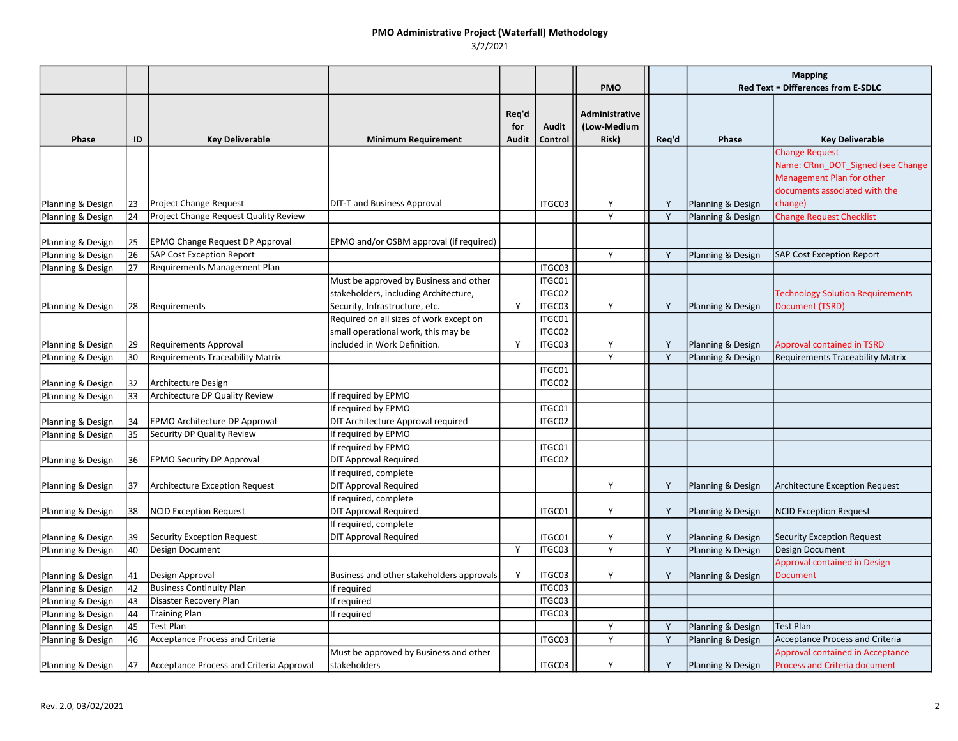|                   |     |                                          |                                                                                                                   |                              |                            | <b>PMO</b>                             |       | <b>Mapping</b><br><b>Red Text = Differences from E-SDLC</b> |                                                                                                                          |
|-------------------|-----|------------------------------------------|-------------------------------------------------------------------------------------------------------------------|------------------------------|----------------------------|----------------------------------------|-------|-------------------------------------------------------------|--------------------------------------------------------------------------------------------------------------------------|
| Phase             | ID  | <b>Key Deliverable</b>                   | <b>Minimum Requirement</b>                                                                                        | Req'd<br>for<br><b>Audit</b> | <b>Audit</b><br>Control    | Administrative<br>(Low-Medium<br>Risk) | Req'd | Phase                                                       | <b>Key Deliverable</b>                                                                                                   |
|                   |     |                                          |                                                                                                                   |                              |                            |                                        |       |                                                             | <b>Change Request</b><br>Name: CRnn_DOT_Signed (see Change<br>Management Plan for other<br>documents associated with the |
| Planning & Design | 23  | Project Change Request                   | DIT-T and Business Approval                                                                                       |                              | ITGC03                     | Y                                      | Y     | Planning & Design                                           | change)                                                                                                                  |
| Planning & Design | 24  | Project Change Request Quality Review    |                                                                                                                   |                              |                            | Y                                      | Y     | Planning & Design                                           | <b>Change Request Checklist</b>                                                                                          |
| Planning & Design | 25  | <b>EPMO Change Request DP Approval</b>   | EPMO and/or OSBM approval (if required)                                                                           |                              |                            |                                        |       |                                                             |                                                                                                                          |
| Planning & Design | 26  | <b>SAP Cost Exception Report</b>         |                                                                                                                   |                              |                            | Y                                      | Y     | Planning & Design                                           | <b>SAP Cost Exception Report</b>                                                                                         |
| Planning & Design | 27  | Requirements Management Plan             |                                                                                                                   |                              | ITGC03                     |                                        |       |                                                             |                                                                                                                          |
| Planning & Design | 28  | <b>Requirements</b>                      | Must be approved by Business and other<br>stakeholders, including Architecture,<br>Security, Infrastructure, etc. | Y                            | ITGC01<br>ITGC02<br>ITGC03 | Y                                      | Y     | Planning & Design                                           | <b>Technology Solution Requirements</b><br>Document (TSRD)                                                               |
| Planning & Design | 29  | <b>Requirements Approval</b>             | Required on all sizes of work except on<br>small operational work, this may be<br>included in Work Definition.    | Y                            | ITGC01<br>ITGC02<br>ITGC03 | Y                                      | Y     | Planning & Design                                           | <b>Approval contained in TSRD</b>                                                                                        |
| Planning & Design | 30  | <b>Requirements Traceability Matrix</b>  |                                                                                                                   |                              |                            | $\overline{Y}$                         | Y     | Planning & Design                                           | <b>Requirements Traceability Matrix</b>                                                                                  |
| Planning & Design | 32  | Architecture Design                      |                                                                                                                   |                              | ITGC01<br>ITGC02           |                                        |       |                                                             |                                                                                                                          |
| Planning & Design | 33  | Architecture DP Quality Review           | If required by EPMO                                                                                               |                              |                            |                                        |       |                                                             |                                                                                                                          |
| Planning & Design | 34  | EPMO Architecture DP Approval            | If required by EPMO<br>DIT Architecture Approval required                                                         |                              | ITGC01<br>ITGC02           |                                        |       |                                                             |                                                                                                                          |
| Planning & Design | 35  | Security DP Quality Review               | If required by EPMO                                                                                               |                              |                            |                                        |       |                                                             |                                                                                                                          |
| Planning & Design | 36  | <b>EPMO Security DP Approval</b>         | If required by EPMO<br><b>DIT Approval Required</b>                                                               |                              | ITGC01<br>ITGC02           |                                        |       |                                                             |                                                                                                                          |
| Planning & Design | 137 | <b>Architecture Exception Request</b>    | If required, complete<br>DIT Approval Required<br>If required, complete                                           |                              |                            | Y                                      | Y     | Planning & Design                                           | <b>Architecture Exception Request</b>                                                                                    |
| Planning & Design | 38  | <b>NCID Exception Request</b>            | DIT Approval Required<br>If required, complete                                                                    |                              | ITGC01                     | Y                                      | Y     | Planning & Design                                           | <b>NCID Exception Request</b>                                                                                            |
| Planning & Design | 39  | Security Exception Request               | <b>DIT Approval Required</b>                                                                                      |                              | ITGC01                     | Y                                      | Y     | Planning & Design                                           | Security Exception Request                                                                                               |
| Planning & Design | 40  | Design Document                          |                                                                                                                   | Y                            | ITGC03                     | Y                                      | Y     | Planning & Design                                           | Design Document                                                                                                          |
|                   |     |                                          |                                                                                                                   |                              |                            |                                        |       |                                                             | <b>Approval contained in Design</b>                                                                                      |
| Planning & Design | 41  | Design Approval                          | Business and other stakeholders approvals                                                                         | Y                            | ITGC03                     | Y                                      | Y     | Planning & Design                                           | <b>Document</b>                                                                                                          |
| Planning & Design | 42  | <b>Business Continuity Plan</b>          | If required                                                                                                       |                              | ITGC03                     |                                        |       |                                                             |                                                                                                                          |
| Planning & Design | 43  | Disaster Recovery Plan                   | If required                                                                                                       |                              | ITGC03                     |                                        |       |                                                             |                                                                                                                          |
| Planning & Design | 44  | <b>Training Plan</b>                     | If required                                                                                                       |                              | ITGC03                     |                                        |       |                                                             |                                                                                                                          |
| Planning & Design | 45  | <b>Test Plan</b>                         |                                                                                                                   |                              |                            | Y                                      | Y     | Planning & Design                                           | <b>Test Plan</b>                                                                                                         |
| Planning & Design | 46  | <b>Acceptance Process and Criteria</b>   |                                                                                                                   |                              | ITGC03                     | Y                                      | Y     | Planning & Design                                           | <b>Acceptance Process and Criteria</b>                                                                                   |
| Planning & Design | 47  | Acceptance Process and Criteria Approval | Must be approved by Business and other<br>stakeholders                                                            |                              | ITGC03                     | Y                                      | Y     | Planning & Design                                           | <b>Approval contained in Acceptance</b><br><b>Process and Criteria document</b>                                          |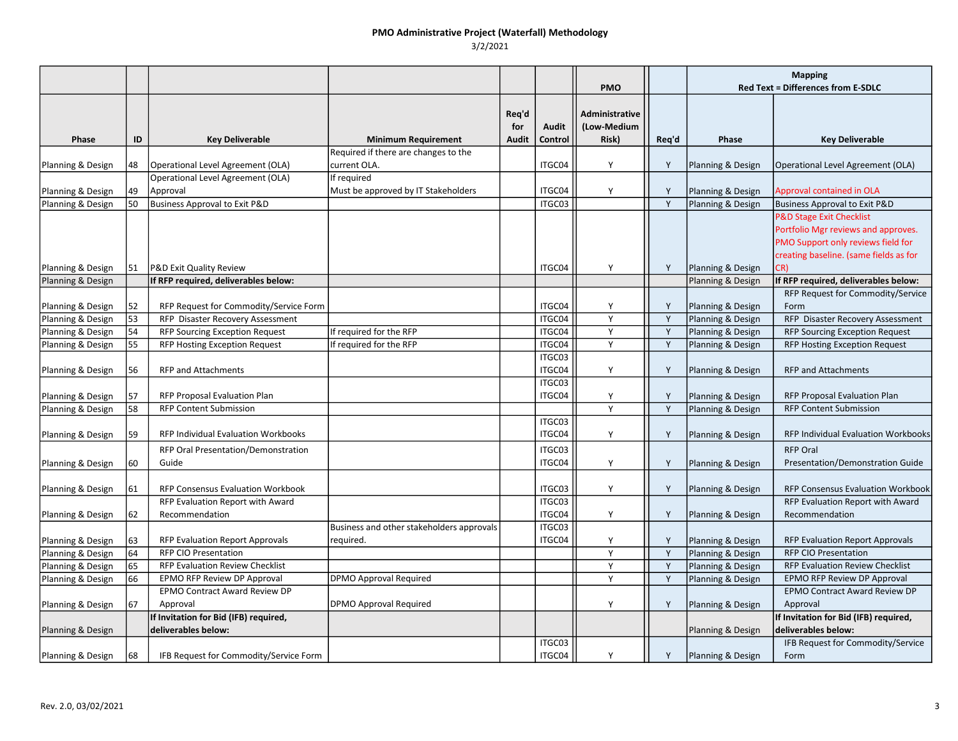|                   |          |                                                                           |                                                        |                       |                         | <b>PMO</b>                             |        | <b>Mapping</b><br><b>Red Text = Differences from E-SDLC</b> |                                                                                                                                                            |  |
|-------------------|----------|---------------------------------------------------------------------------|--------------------------------------------------------|-----------------------|-------------------------|----------------------------------------|--------|-------------------------------------------------------------|------------------------------------------------------------------------------------------------------------------------------------------------------------|--|
| Phase             | ID       | <b>Key Deliverable</b>                                                    | <b>Minimum Requirement</b>                             | Req'd<br>for<br>Audit | <b>Audit</b><br>Control | Administrative<br>(Low-Medium<br>Risk) | Req'd  | Phase                                                       | <b>Key Deliverable</b>                                                                                                                                     |  |
|                   |          |                                                                           | Required if there are changes to the                   |                       |                         |                                        |        |                                                             |                                                                                                                                                            |  |
| Planning & Design | 48       | Operational Level Agreement (OLA)                                         | current OLA.                                           |                       | ITGC04                  | Y                                      | Y      | Planning & Design                                           | Operational Level Agreement (OLA)                                                                                                                          |  |
| Planning & Design | 49       | Operational Level Agreement (OLA)<br>Approval                             | If required<br>Must be approved by IT Stakeholders     |                       | ITGC04                  | Υ                                      | Y      | Planning & Design                                           | <b>Approval contained in OLA</b>                                                                                                                           |  |
| Planning & Design | 150      | Business Approval to Exit P&D                                             |                                                        |                       | ITGC03                  |                                        | Y      | Planning & Design                                           | <b>Business Approval to Exit P&amp;D</b>                                                                                                                   |  |
|                   |          |                                                                           |                                                        |                       |                         |                                        |        |                                                             | <b>P&amp;D Stage Exit Checklist</b><br>Portfolio Mgr reviews and approves.<br>PMO Support only reviews field for<br>creating baseline. (same fields as for |  |
| Planning & Design | 151      | P&D Exit Quality Review                                                   |                                                        |                       | ITGC04                  | Y                                      | Y      | Planning & Design                                           | CR)                                                                                                                                                        |  |
| Planning & Design |          | If RFP required, deliverables below:                                      |                                                        |                       |                         |                                        |        | Planning & Design                                           | If RFP required, deliverables below:                                                                                                                       |  |
|                   |          |                                                                           |                                                        |                       |                         |                                        |        |                                                             | RFP Request for Commodity/Service                                                                                                                          |  |
| Planning & Design | 52<br>53 | RFP Request for Commodity/Service Form                                    |                                                        |                       | ITGC04<br>ITGC04        | Y<br>Y                                 | Y<br>Y | Planning & Design                                           | Form<br>RFP Disaster Recovery Assessment                                                                                                                   |  |
| Planning & Design | 54       | RFP Disaster Recovery Assessment<br><b>RFP Sourcing Exception Request</b> |                                                        |                       | ITGC04                  | Y                                      |        | Planning & Design                                           | <b>RFP Sourcing Exception Request</b>                                                                                                                      |  |
| Planning & Design | 55       |                                                                           | If required for the RFP                                |                       | ITGC04                  | Y                                      | Y<br>Y | Planning & Design                                           |                                                                                                                                                            |  |
| Planning & Design |          | RFP Hosting Exception Request                                             | If required for the RFP                                |                       | ITGC03                  |                                        |        | Planning & Design                                           | RFP Hosting Exception Request                                                                                                                              |  |
| Planning & Design | 56       | <b>RFP and Attachments</b>                                                |                                                        |                       | ITGC04                  | Y                                      | Y      | Planning & Design                                           | <b>RFP and Attachments</b>                                                                                                                                 |  |
|                   |          |                                                                           |                                                        |                       | ITGC03                  |                                        |        |                                                             |                                                                                                                                                            |  |
| Planning & Design | 57<br>58 | RFP Proposal Evaluation Plan<br><b>RFP Content Submission</b>             |                                                        |                       | ITGC04                  | Y<br>Y                                 | Y<br>Y | Planning & Design                                           | RFP Proposal Evaluation Plan<br><b>RFP Content Submission</b>                                                                                              |  |
| Planning & Design |          |                                                                           |                                                        |                       | ITGC03                  |                                        |        | Planning & Design                                           |                                                                                                                                                            |  |
| Planning & Design | 59       | <b>RFP Individual Evaluation Workbooks</b>                                |                                                        |                       | ITGC04                  | Y                                      | Y      | Planning & Design                                           | <b>RFP Individual Evaluation Workbooks</b>                                                                                                                 |  |
|                   |          | RFP Oral Presentation/Demonstration                                       |                                                        |                       | ITGC03                  |                                        |        |                                                             | <b>RFP Oral</b>                                                                                                                                            |  |
| Planning & Design | 160      | Guide                                                                     |                                                        |                       | ITGC04                  | Y                                      | Y      | Planning & Design                                           | Presentation/Demonstration Guide                                                                                                                           |  |
| Planning & Design | 61       | <b>RFP Consensus Evaluation Workbook</b>                                  |                                                        |                       | ITGC03                  | Y                                      | Y      | Planning & Design                                           | RFP Consensus Evaluation Workbook                                                                                                                          |  |
|                   |          | RFP Evaluation Report with Award                                          |                                                        |                       | ITGC03                  |                                        |        |                                                             | RFP Evaluation Report with Award                                                                                                                           |  |
| Planning & Design | 62       | Recommendation                                                            |                                                        |                       | ITGC04                  | Y                                      | Y      | Planning & Design                                           | Recommendation                                                                                                                                             |  |
| Planning & Design | 63       | RFP Evaluation Report Approvals                                           | Business and other stakeholders approvals<br>reguired. |                       | ITGC03<br>ITGC04        | Y                                      | Y      | Planning & Design                                           | RFP Evaluation Report Approvals                                                                                                                            |  |
| Planning & Design | 64       | <b>RFP CIO Presentation</b>                                               |                                                        |                       |                         | Y                                      | Y      | Planning & Design                                           | <b>RFP CIO Presentation</b>                                                                                                                                |  |
| Planning & Design | 65       | RFP Evaluation Review Checklist                                           |                                                        |                       |                         | $\mathsf{Y}$                           | Y      | Planning & Design                                           | <b>RFP Evaluation Review Checklist</b>                                                                                                                     |  |
| Planning & Design | 66       | EPMO RFP Review DP Approval                                               | <b>DPMO Approval Required</b>                          |                       |                         | Y                                      | Y      | Planning & Design                                           | EPMO RFP Review DP Approval                                                                                                                                |  |
|                   |          | <b>EPMO Contract Award Review DP</b>                                      |                                                        |                       |                         |                                        |        |                                                             | <b>EPMO Contract Award Review DP</b>                                                                                                                       |  |
| Planning & Design | 67       | Approval                                                                  | <b>DPMO Approval Required</b>                          |                       |                         | Y                                      | Y      | Planning & Design                                           | Approval                                                                                                                                                   |  |
|                   |          | If Invitation for Bid (IFB) required,                                     |                                                        |                       |                         |                                        |        |                                                             | If Invitation for Bid (IFB) required,                                                                                                                      |  |
| Planning & Design |          | deliverables below:                                                       |                                                        |                       |                         |                                        |        | Planning & Design                                           | deliverables below:                                                                                                                                        |  |
|                   |          |                                                                           |                                                        |                       | ITGC03                  |                                        |        |                                                             | IFB Request for Commodity/Service                                                                                                                          |  |
| Planning & Design | 68       | IFB Request for Commodity/Service Form                                    |                                                        |                       | ITGC04                  | Y                                      | Y      | Planning & Design                                           | Form                                                                                                                                                       |  |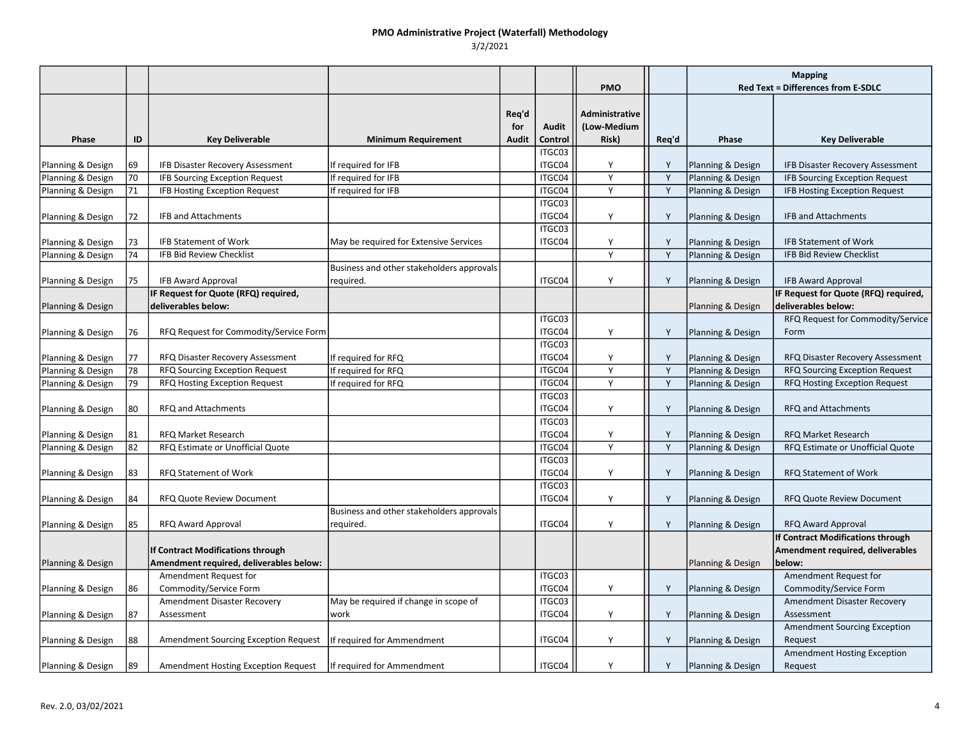|                   |    |                                         |                                                        |                              |                         | <b>PMO</b>                             |       | <b>Mapping</b><br><b>Red Text = Differences from E-SDLC</b> |                                       |
|-------------------|----|-----------------------------------------|--------------------------------------------------------|------------------------------|-------------------------|----------------------------------------|-------|-------------------------------------------------------------|---------------------------------------|
| Phase             | ID | <b>Key Deliverable</b>                  | <b>Minimum Requirement</b>                             | Req'd<br>for<br><b>Audit</b> | <b>Audit</b><br>Control | Administrative<br>(Low-Medium<br>Risk) | Req'd | Phase                                                       | <b>Key Deliverable</b>                |
|                   |    |                                         |                                                        |                              | ITGC03                  |                                        |       |                                                             |                                       |
| Planning & Design | 69 | IFB Disaster Recovery Assessment        | If required for IFB                                    |                              | ITGC04                  | Y                                      | Y     | Planning & Design                                           | IFB Disaster Recovery Assessment      |
| Planning & Design | 70 | IFB Sourcing Exception Request          | If required for IFB                                    |                              | ITGC04                  | Y                                      | Y     | Planning & Design                                           | <b>IFB Sourcing Exception Request</b> |
| Planning & Design | 71 | IFB Hosting Exception Request           | If required for IFB                                    |                              | ITGC04                  | Y                                      | Y     | Planning & Design                                           | IFB Hosting Exception Request         |
| Planning & Design | 72 | <b>IFB and Attachments</b>              |                                                        |                              | ITGC03<br>ITGC04        | Y                                      | Y     | Planning & Design                                           | <b>IFB and Attachments</b>            |
| Planning & Design | 73 | <b>IFB Statement of Work</b>            | May be required for Extensive Services                 |                              | ITGC03<br>ITGC04        | Y                                      | Y     | Planning & Design                                           | <b>IFB Statement of Work</b>          |
| Planning & Design | 74 | IFB Bid Review Checklist                |                                                        |                              |                         | Y                                      | Y     | Planning & Design                                           | <b>IFB Bid Review Checklist</b>       |
| Planning & Design | 75 | <b>IFB Award Approval</b>               | Business and other stakeholders approvals<br>required. |                              | ITGC04                  | Y                                      | Y     | Planning & Design                                           | <b>IFB Award Approval</b>             |
|                   |    | IF Request for Quote (RFQ) required,    |                                                        |                              |                         |                                        |       |                                                             | IF Request for Quote (RFQ) required,  |
| Planning & Design |    | deliverables below:                     |                                                        |                              |                         |                                        |       | Planning & Design                                           | deliverables below:                   |
|                   |    |                                         |                                                        |                              | ITGC03                  |                                        |       |                                                             | RFQ Request for Commodity/Service     |
| Planning & Design | 76 | RFQ Request for Commodity/Service Form  |                                                        |                              | ITGC04                  | Y                                      | Y     | Planning & Design                                           | Form                                  |
|                   |    |                                         |                                                        |                              | ITGC03                  |                                        |       |                                                             |                                       |
| Planning & Design | 77 | RFQ Disaster Recovery Assessment        | If required for RFQ                                    |                              | ITGC04                  | Y                                      | Y     | Planning & Design                                           | RFQ Disaster Recovery Assessment      |
| Planning & Design | 78 | <b>RFQ Sourcing Exception Request</b>   | If required for RFQ                                    |                              | ITGC04                  | Y                                      | Y     | Planning & Design                                           | RFQ Sourcing Exception Request        |
| Planning & Design | 79 | RFQ Hosting Exception Request           | If required for RFQ                                    |                              | ITGC04                  | Y                                      | Y     | Planning & Design                                           | RFQ Hosting Exception Request         |
|                   |    |                                         |                                                        |                              | ITGC03                  |                                        |       |                                                             |                                       |
| Planning & Design | 80 | RFQ and Attachments                     |                                                        |                              | ITGC04                  | Y                                      | Y     | Planning & Design                                           | <b>RFQ and Attachments</b>            |
|                   |    |                                         |                                                        |                              | ITGC03                  |                                        |       |                                                             |                                       |
| Planning & Design | 81 | RFQ Market Research                     |                                                        |                              | ITGC04                  | Y                                      | Y     | Planning & Design                                           | RFQ Market Research                   |
| Planning & Design | 82 | RFQ Estimate or Unofficial Quote        |                                                        |                              | ITGC04                  | Y                                      | Y     | Planning & Design                                           | RFQ Estimate or Unofficial Quote      |
|                   |    |                                         |                                                        |                              | ITGC03                  |                                        |       |                                                             |                                       |
| Planning & Design | 83 | RFQ Statement of Work                   |                                                        |                              | ITGC04                  | Υ                                      | Y     | Planning & Design                                           | RFQ Statement of Work                 |
|                   |    |                                         |                                                        |                              | ITGC03                  |                                        |       |                                                             |                                       |
| Planning & Design | 84 | RFQ Quote Review Document               |                                                        |                              | ITGC04                  | Υ                                      | Y     | Planning & Design                                           | RFQ Quote Review Document             |
|                   |    |                                         | Business and other stakeholders approvals              |                              |                         |                                        |       |                                                             |                                       |
| Planning & Design | 85 | <b>RFQ Award Approval</b>               | reguired                                               |                              | ITGC04                  | Y                                      | Y     | Planning & Design                                           | <b>RFQ Award Approval</b>             |
|                   |    |                                         |                                                        |                              |                         |                                        |       |                                                             | If Contract Modifications through     |
|                   |    | If Contract Modifications through       |                                                        |                              |                         |                                        |       |                                                             | Amendment required, deliverables      |
| Planning & Design |    | Amendment required, deliverables below: |                                                        |                              |                         |                                        |       | Planning & Design                                           | below:                                |
|                   |    | Amendment Request for                   |                                                        |                              | ITGC03                  |                                        |       |                                                             | Amendment Request for                 |
| Planning & Design | 86 | Commodity/Service Form                  |                                                        |                              | ITGC04                  | Υ                                      | Υ     | Planning & Design                                           | Commodity/Service Form                |
|                   |    | Amendment Disaster Recovery             | May be required if change in scope of                  |                              | ITGC03                  |                                        |       |                                                             | Amendment Disaster Recovery           |
| Planning & Design | 87 | Assessment                              | work                                                   |                              | ITGC04                  | Y                                      | Y     | Planning & Design                                           | Assessment                            |
|                   |    |                                         |                                                        |                              |                         |                                        |       |                                                             | <b>Amendment Sourcing Exception</b>   |
| Planning & Design | 88 | Amendment Sourcing Exception Request    | If required for Ammendment                             |                              | ITGC04                  | Y                                      | Y     | Planning & Design                                           | Request                               |
|                   |    |                                         |                                                        |                              |                         |                                        |       |                                                             | Amendment Hosting Exception           |
| Planning & Design | 89 | Amendment Hosting Exception Request     | If required for Ammendment                             |                              | ITGC04                  | Y                                      | Y     | Planning & Design                                           | Request                               |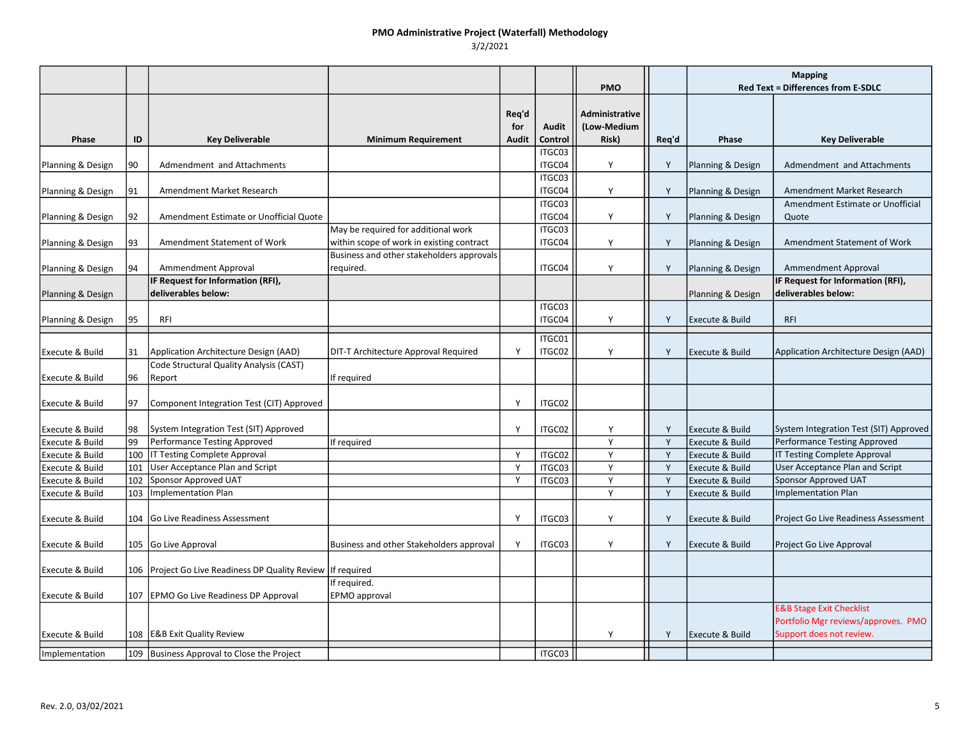|                            |     |                                                                 |                                           |                              |                         | <b>PMO</b>                                    |       | <b>Mapping</b><br><b>Red Text = Differences from E-SDLC</b> |                                                                                                        |
|----------------------------|-----|-----------------------------------------------------------------|-------------------------------------------|------------------------------|-------------------------|-----------------------------------------------|-------|-------------------------------------------------------------|--------------------------------------------------------------------------------------------------------|
| Phase                      | ID  | <b>Key Deliverable</b>                                          | <b>Minimum Requirement</b>                | Req'd<br>for<br><b>Audit</b> | <b>Audit</b><br>Control | <b>Administrative</b><br>(Low-Medium<br>Risk) | Req'd | Phase                                                       | <b>Key Deliverable</b>                                                                                 |
|                            | 90  | Admendment and Attachments                                      |                                           |                              | ITGC03<br>ITGC04        | Υ                                             | Y     |                                                             | Admendment and Attachments                                                                             |
| Planning & Design          |     |                                                                 |                                           |                              | ITGC03                  |                                               |       | Planning & Design                                           |                                                                                                        |
| Planning & Design          | 91  | Amendment Market Research                                       |                                           |                              | ITGC04                  | Y                                             | Y     | Planning & Design                                           | Amendment Market Research                                                                              |
| Planning & Design          | 92  | Amendment Estimate or Unofficial Quote                          |                                           |                              | ITGC03<br>ITGC04        | Y                                             | Y     | Planning & Design                                           | Amendment Estimate or Unofficial<br>Quote                                                              |
|                            |     |                                                                 | May be required for additional work       |                              | ITGC03                  |                                               |       |                                                             |                                                                                                        |
| Planning & Design          | 93  | Amendment Statement of Work                                     | within scope of work in existing contract |                              | ITGC04                  | Y                                             | Y     | Planning & Design                                           | Amendment Statement of Work                                                                            |
|                            |     |                                                                 | Business and other stakeholders approvals |                              | ITGC04                  |                                               |       |                                                             |                                                                                                        |
| Planning & Design          | 94  | Ammendment Approval<br>IF Request for Information (RFI),        | required.                                 |                              |                         | Y                                             | Y     | Planning & Design                                           | Ammendment Approval<br>IF Request for Information (RFI),                                               |
| Planning & Design          |     | deliverables below:                                             |                                           |                              |                         |                                               |       | Planning & Design                                           | deliverables below:                                                                                    |
|                            |     |                                                                 |                                           |                              | ITGC03                  |                                               |       |                                                             |                                                                                                        |
| Planning & Design          | 195 | RFI                                                             |                                           |                              | ITGC04                  | Y                                             | Y     | <b>Execute &amp; Build</b>                                  | <b>RFI</b>                                                                                             |
| <b>Execute &amp; Build</b> | 131 | Application Architecture Design (AAD)                           | DIT-T Architecture Approval Required      | Y                            | ITGC01<br>ITGC02        | Y                                             | Y     | <b>Execute &amp; Build</b>                                  | Application Architecture Design (AAD)                                                                  |
|                            | 196 | Code Structural Quality Analysis (CAST)                         |                                           |                              |                         |                                               |       |                                                             |                                                                                                        |
| Execute & Build            |     | Report                                                          | If required                               |                              |                         |                                               |       |                                                             |                                                                                                        |
| <b>Execute &amp; Build</b> | 197 | Component Integration Test (CIT) Approved                       |                                           | Y                            | ITGC02                  |                                               |       |                                                             |                                                                                                        |
| Execute & Build            | 198 | System Integration Test (SIT) Approved                          |                                           | Y                            | ITGC02                  | Y                                             | Y     | <b>Execute &amp; Build</b>                                  | System Integration Test (SIT) Approved                                                                 |
| Execute & Build            | 99  | Performance Testing Approved                                    | If required                               |                              |                         | Y                                             | Y     | Execute & Build                                             | Performance Testing Approved                                                                           |
| Execute & Build            | 100 | <b>IT Testing Complete Approval</b>                             |                                           | Y                            | ITGC02                  | Y                                             | Y     | Execute & Build                                             | IT Testing Complete Approval                                                                           |
| Execute & Build            | 101 | User Acceptance Plan and Script                                 |                                           | Y                            | ITGC03                  | Y                                             | Y     | Execute & Build                                             | <b>User Acceptance Plan and Script</b>                                                                 |
| Execute & Build            | 102 | Sponsor Approved UAT                                            |                                           | Y                            | ITGC03                  | Y                                             | Y     | Execute & Build                                             | <b>Sponsor Approved UAT</b>                                                                            |
| Execute & Build            | 103 | <b>Implementation Plan</b>                                      |                                           |                              |                         | Y                                             | Y     | Execute & Build                                             | <b>Implementation Plan</b>                                                                             |
| <b>Execute &amp; Build</b> | 104 | <b>Go Live Readiness Assessment</b>                             |                                           | Y                            | ITGC03                  | Y                                             | Y     | Execute & Build                                             | <b>Project Go Live Readiness Assessment</b>                                                            |
| Execute & Build            |     | 105 Go Live Approval                                            | Business and other Stakeholders approval  | Y                            | ITGC03                  | Y                                             | Y     | Execute & Build                                             | Project Go Live Approval                                                                               |
| <b>Execute &amp; Build</b> |     | 106   Project Go Live Readiness DP Quality Review   If required |                                           |                              |                         |                                               |       |                                                             |                                                                                                        |
| <b>Execute &amp; Build</b> |     | 107   EPMO Go Live Readiness DP Approval                        | If required.<br>EPMO approval             |                              |                         |                                               |       |                                                             |                                                                                                        |
| Execute & Build            |     | 108   E&B Exit Quality Review                                   |                                           |                              |                         | Υ                                             | Y     | Execute & Build                                             | <b>E&amp;B Stage Exit Checklist</b><br>Portfolio Mgr reviews/approves. PMO<br>Support does not review. |
| Implementation             | 109 | Business Approval to Close the Project                          |                                           |                              | ITGC03                  |                                               |       |                                                             |                                                                                                        |